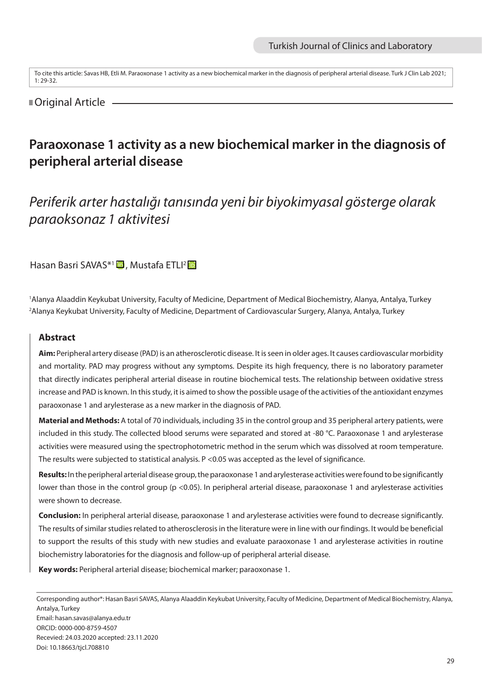To cite this article: Savas HB, Etli M. Paraoxonase 1 activity as a new biochemical marker in the diagnosis of peripheral arterial disease. Turk J Clin Lab 2021; 1: 29-32.

# ■Original Article

# **Paraoxonase 1 activity as a new biochemical marker in the diagnosis of peripheral arterial disease**

*Periferik arter hastalığı tanısında yeni bir biyokimyasal gösterge olarak paraoksonaz 1 aktivitesi*

Hasan Basri SAVAS<sup>\*1</sup> D, Mustafa ETLI<sup>2</sup> D

1 Alanya Alaaddin Keykubat University, Faculty of Medicine, Department of Medical Biochemistry, Alanya, Antalya, Turkey 2 Alanya Keykubat University, Faculty of Medicine, Department of Cardiovascular Surgery, Alanya, Antalya, Turkey

## **Abstract**

**Aim:** Peripheral artery disease (PAD) is an atherosclerotic disease. It is seen in older ages. It causes cardiovascular morbidity and mortality. PAD may progress without any symptoms. Despite its high frequency, there is no laboratory parameter that directly indicates peripheral arterial disease in routine biochemical tests. The relationship between oxidative stress increase and PAD is known. In this study, it is aimed to show the possible usage of the activities of the antioxidant enzymes paraoxonase 1 and arylesterase as a new marker in the diagnosis of PAD.

**Material and Methods:** A total of 70 individuals, including 35 in the control group and 35 peripheral artery patients, were included in this study. The collected blood serums were separated and stored at -80 °C. Paraoxonase 1 and arylesterase activities were measured using the spectrophotometric method in the serum which was dissolved at room temperature. The results were subjected to statistical analysis. P <0.05 was accepted as the level of significance.

**Results:** In the peripheral arterial disease group, the paraoxonase 1 and arylesterase activities were found to be significantly lower than those in the control group (p <0.05). In peripheral arterial disease, paraoxonase 1 and arylesterase activities were shown to decrease.

**Conclusion:** In peripheral arterial disease, paraoxonase 1 and arylesterase activities were found to decrease significantly. The results of similar studies related to atherosclerosis in the literature were in line with our findings. It would be beneficial to support the results of this study with new studies and evaluate paraoxonase 1 and arylesterase activities in routine biochemistry laboratories for the diagnosis and follow-up of peripheral arterial disease.

**Key words:** Peripheral arterial disease; biochemical marker; paraoxonase 1.

Corresponding author\*: Hasan Basri SAVAS, Alanya Alaaddin Keykubat University, Faculty of Medicine, Department of Medical Biochemistry, Alanya, Antalya, Turkey Email: hasan.savas@alanya.edu.tr ORCID: 0000-000-8759-4507 Recevied: 24.03.2020 accepted: 23.11.2020 Doi: 10.18663/tjcl.708810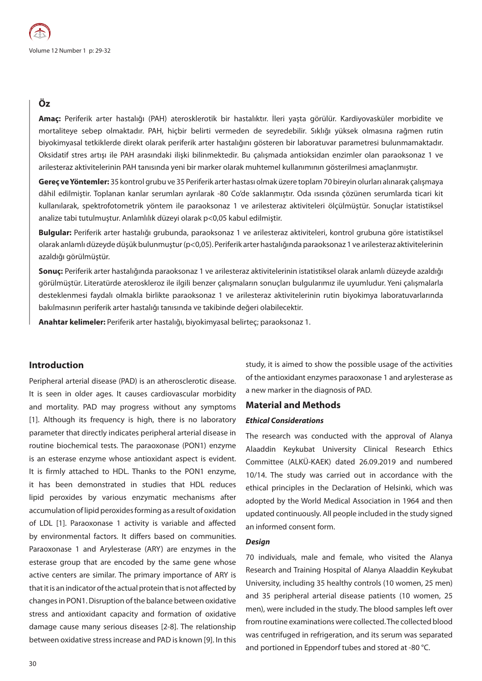# **Öz**

**Amaç:** Periferik arter hastalığı (PAH) aterosklerotik bir hastalıktır. İleri yaşta görülür. Kardiyovasküler morbidite ve mortaliteye sebep olmaktadır. PAH, hiçbir belirti vermeden de seyredebilir. Sıklığı yüksek olmasına rağmen rutin biyokimyasal tetkiklerde direkt olarak periferik arter hastalığını gösteren bir laboratuvar parametresi bulunmamaktadır. Oksidatif stres artışı ile PAH arasındaki ilişki bilinmektedir. Bu çalışmada antioksidan enzimler olan paraoksonaz 1 ve arilesteraz aktivitelerinin PAH tanısında yeni bir marker olarak muhtemel kullanımının gösterilmesi amaçlanmıştır.

**Gereç ve Yöntemler:** 35 kontrol grubu ve 35 Periferik arter hastası olmak üzere toplam 70 bireyin olurları alınarak çalışmaya dâhil edilmiştir. Toplanan kanlar serumları ayrılarak -80 Co'de saklanmıştır. Oda ısısında çözünen serumlarda ticari kit kullanılarak, spektrofotometrik yöntem ile paraoksonaz 1 ve arilesteraz aktiviteleri ölçülmüştür. Sonuçlar istatistiksel analize tabi tutulmuştur. Anlamlılık düzeyi olarak p<0,05 kabul edilmiştir.

**Bulgular:** Periferik arter hastalığı grubunda, paraoksonaz 1 ve arilesteraz aktiviteleri, kontrol grubuna göre istatistiksel olarak anlamlı düzeyde düşük bulunmuştur (p<0,05). Periferik arter hastalığında paraoksonaz 1 ve arilesteraz aktivitelerinin azaldığı görülmüştür.

**Sonuç:** Periferik arter hastalığında paraoksonaz 1 ve arilesteraz aktivitelerinin istatistiksel olarak anlamlı düzeyde azaldığı görülmüştür. Literatürde ateroskleroz ile ilgili benzer çalışmaların sonuçları bulgularımız ile uyumludur. Yeni çalışmalarla desteklenmesi faydalı olmakla birlikte paraoksonaz 1 ve arilesteraz aktivitelerinin rutin biyokimya laboratuvarlarında bakılmasının periferik arter hastalığı tanısında ve takibinde değeri olabilecektir.

**Anahtar kelimeler:** Periferik arter hastalığı, biyokimyasal belirteç; paraoksonaz 1.

## **Introduction**

Peripheral arterial disease (PAD) is an atherosclerotic disease. It is seen in older ages. It causes cardiovascular morbidity and mortality. PAD may progress without any symptoms [1]. Although its frequency is high, there is no laboratory parameter that directly indicates peripheral arterial disease in routine biochemical tests. The paraoxonase (PON1) enzyme is an esterase enzyme whose antioxidant aspect is evident. It is firmly attached to HDL. Thanks to the PON1 enzyme, it has been demonstrated in studies that HDL reduces lipid peroxides by various enzymatic mechanisms after accumulation of lipid peroxides forming as a result of oxidation of LDL [1]. Paraoxonase 1 activity is variable and affected by environmental factors. It differs based on communities. Paraoxonase 1 and Arylesterase (ARY) are enzymes in the esterase group that are encoded by the same gene whose active centers are similar. The primary importance of ARY is that it is an indicator of the actual protein that is not affected by changes in PON1. Disruption of the balance between oxidative stress and antioxidant capacity and formation of oxidative damage cause many serious diseases [2-8]. The relationship between oxidative stress increase and PAD is known [9]. In this

study, it is aimed to show the possible usage of the activities of the antioxidant enzymes paraoxonase 1 and arylesterase as a new marker in the diagnosis of PAD.

## **Material and Methods**

#### *Ethical Considerations*

The research was conducted with the approval of Alanya Alaaddin Keykubat University Clinical Research Ethics Committee (ALKÜ-KAEK) dated 26.09.2019 and numbered 10/14. The study was carried out in accordance with the ethical principles in the Declaration of Helsinki, which was adopted by the World Medical Association in 1964 and then updated continuously. All people included in the study signed an informed consent form.

#### *Design*

70 individuals, male and female, who visited the Alanya Research and Training Hospital of Alanya Alaaddin Keykubat University, including 35 healthy controls (10 women, 25 men) and 35 peripheral arterial disease patients (10 women, 25 men), were included in the study. The blood samples left over from routine examinations were collected. The collected blood was centrifuged in refrigeration, and its serum was separated and portioned in Eppendorf tubes and stored at -80 °C.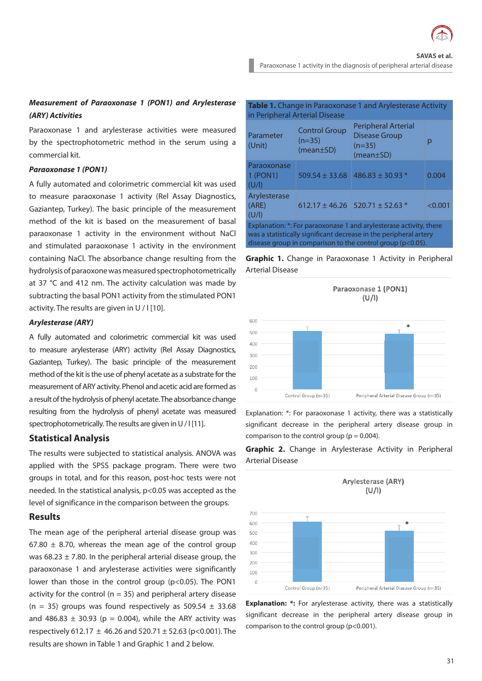

# *Measurement of Paraoxonase 1 (PON1) and Arylesterase (ARY) Activities*

Paraoxonase 1 and arylesterase activities were measured by the spectrophotometric method in the serum using a commercial kit.

#### *Paraoxonase 1 (PON1)*

A fully automated and colorimetric commercial kit was used to measure paraoxonase 1 activity (Rel Assay Diagnostics, Gaziantep, Turkey). The basic principle of the measurement method of the kit is based on the measurement of basal paraoxonase 1 activity in the environment without NaCl and stimulated paraoxonase 1 activity in the environment containing NaCl. The absorbance change resulting from the hydrolysis of paraoxone was measured spectrophotometrically at 37 °C and 412 nm. The activity calculation was made by subtracting the basal PON1 activity from the stimulated PON1 activity. The results are given in U / I [10].

#### *Arylesterase (ARY)*

A fully automated and colorimetric commercial kit was used to measure arylesterase (ARY) activity (Rel Assay Diagnostics, Gaziantep, Turkey). The basic principle of the measurement method of the kit is the use of phenyl acetate as a substrate for the measurement of ARY activity. Phenol and acetic acid are formed as a result of the hydrolysis of phenyl acetate. The absorbance change resulting from the hydrolysis of phenyl acetate was measured spectrophotometrically. The results are given in U / I [11].

### **Statistical Analysis**

The results were subjected to statistical analysis. ANOVA was applied with the SPSS package program. There were two groups in total, and for this reason, post-hoc tests were not needed. In the statistical analysis, p<0.05 was accepted as the level of significance in the comparison between the groups.

## **Results**

The mean age of the peripheral arterial disease group was 67.80  $\pm$  8.70, whereas the mean age of the control group was 68.23  $\pm$  7.80. In the peripheral arterial disease group, the paraoxonase 1 and arylesterase activities were significantly lower than those in the control group (p<0.05). The PON1 activity for the control ( $n = 35$ ) and peripheral artery disease (n = 35) groups was found respectively as  $509.54 \pm 33.68$ and 486.83  $\pm$  30.93 (p = 0.004), while the ARY activity was respectively 612.17  $\pm$  46.26 and 520.71  $\pm$  52.63 (p<0.001). The results are shown in Table 1 and Graphic 1 and 2 below.

| Table 1. Change in Paraoxonase 1 and Arylesterase Activity<br>in Peripheral Arterial Disease                                                                                                                |                                                     |                                                                            |         |
|-------------------------------------------------------------------------------------------------------------------------------------------------------------------------------------------------------------|-----------------------------------------------------|----------------------------------------------------------------------------|---------|
| Parameter<br>(Unit)                                                                                                                                                                                         | <b>Control Group</b><br>$(n=35)$<br>$(mean \pm SD)$ | Peripheral Arterial<br><b>Disease Group</b><br>$(n=35)$<br>$(mean \pm SD)$ |         |
| Paraoxonase<br>1 (PON1)<br>(U/I)                                                                                                                                                                            | $509.54 \pm 33.68$                                  | $486.83 \pm 30.93$ *                                                       | 0.004   |
| Arylesterase<br>(ARE)<br>(U/I)                                                                                                                                                                              | $612.17 \pm 46.26$                                  | $520.71 \pm 52.63$ *                                                       | < 0.001 |
| Explanation: *: For paraoxonase 1 and arylesterase activity, there<br>was a statistically significant decrease in the peripheral artery<br>disease group in comparison to the control group ( $p < 0.05$ ). |                                                     |                                                                            |         |

**Graphic 1.** Change in Paraoxonase 1 Activity in Peripheral Arterial Disease



Explanation: \*: For paraoxonase 1 activity, there was a statistically significant decrease in the peripheral artery disease group in comparison to the control group ( $p = 0.004$ ).

**Graphic 2.** Change in Arylesterase Activity in Peripheral Arterial Disease



**Explanation: \*:** For arylesterase activity, there was a statistically significant decrease in the peripheral artery disease group in comparison to the control group (p<0.001).